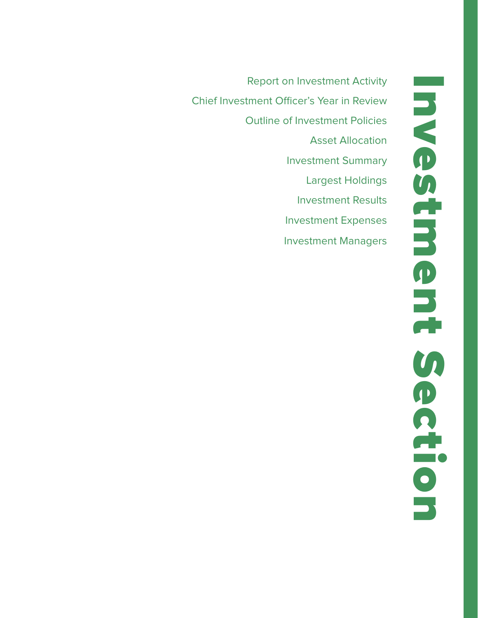ENGRANCIES CONFIDENCI Nessien Section BCtion

Report on Investment Activity Chief Investment Officer's Year in Review Outline of Investment Policies Asset Allocation Investment Summary Largest Holdings Investment Results Investment Expenses Investment Managers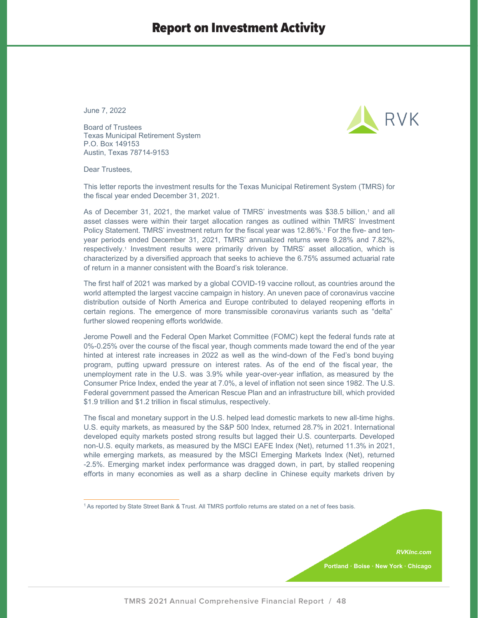June 7, 2022

Board of Trustees Texas Municipal Retirement System P.O. Box 149153 Austin, Texas 78714-9153



Dear Trustees,

This letter reports the investment results for the Texas Municipal Retirement System (TMRS) for the fiscal year ended December 31, 2021.

As of December 31, 2021, the market value of TMRS' investments was \$38.5 billion,<sup>1</sup> and all asset classes were within their target allocation ranges as outlined within TMRS' Investment Policy Statement. TMRS' investment return for the fiscal year was 12.86%.<sup>1</sup> For the five- and tenyear periods ended December 31, 2021, TMRS' annualized returns were 9.28% and 7.82%, respectively.<sup>1</sup> Investment results were primarily driven by TMRS' asset allocation, which is characterized by a diversified approach that seeks to achieve the 6.75% assumed actuarial rate of return in a manner consistent with the Board's risk tolerance.

The first half of 2021 was marked by a global COVID-19 vaccine rollout, as countries around the world attempted the largest vaccine campaign in history. An uneven pace of coronavirus vaccine distribution outside of North America and Europe contributed to delayed reopening efforts in certain regions. The emergence of more transmissible coronavirus variants such as "delta" further slowed reopening efforts worldwide.

Jerome Powell and the Federal Open Market Committee (FOMC) kept the federal funds rate at 0%-0.25% over the course of the fiscal year, though comments made toward the end of the year hinted at interest rate increases in 2022 as well as the wind-down of the Fed's bond buying program, putting upward pressure on interest rates. As of the end of the fiscal year, the unemployment rate in the U.S. was 3.9% while year-over-year inflation, as measured by the Consumer Price Index, ended the year at 7.0%, a level of inflation not seen since 1982. The U.S. Federal government passed the American Rescue Plan and an infrastructure bill, which provided \$1.9 trillion and \$1.2 trillion in fiscal stimulus, respectively.

The fiscal and monetary support in the U.S. helped lead domestic markets to new all-time highs. U.S. equity markets, as measured by the S&P 500 Index, returned 28.7% in 2021. International developed equity markets posted strong results but lagged their U.S. counterparts. Developed non-U.S. equity markets, as measured by the MSCI EAFE Index (Net), returned 11.3% in 2021, while emerging markets, as measured by the MSCI Emerging Markets Index (Net), returned -2.5%. Emerging market index performance was dragged down, in part, by stalled reopening efforts in many economies as well as a sharp decline in Chinese equity markets driven by

*RVKInc.com*

**Portland · Boise · New York · Chicago**

<sup>1</sup> As reported by State Street Bank & Trust. All TMRS portfolio returns are stated on a net of fees basis.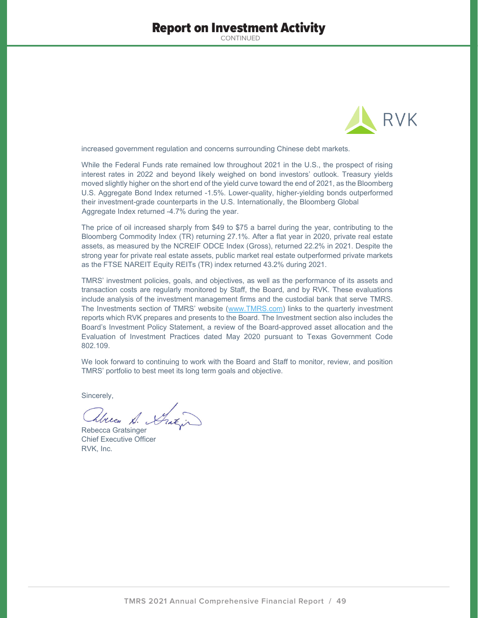CONTINUED



increased government regulation and concerns surrounding Chinese debt markets.

While the Federal Funds rate remained low throughout 2021 in the U.S., the prospect of rising interest rates in 2022 and beyond likely weighed on bond investors' outlook. Treasury yields moved slightly higher on the short end of the yield curve toward the end of 2021, as the Bloomberg U.S. Aggregate Bond Index returned -1.5%. Lower-quality, higher-yielding bonds outperformed their investment-grade counterparts in the U.S. Internationally, the Bloomberg Global Aggregate Index returned -4.7% during the year.

The price of oil increased sharply from \$49 to \$75 a barrel during the year, contributing to the Bloomberg Commodity Index (TR) returning 27.1%. After a flat year in 2020, private real estate assets, as measured by the NCREIF ODCE Index (Gross), returned 22.2% in 2021. Despite the strong year for private real estate assets, public market real estate outperformed private markets as the FTSE NAREIT Equity REITs (TR) index returned 43.2% during 2021.

TMRS' investment policies, goals, and objectives, as well as the performance of its assets and transaction costs are regularly monitored by Staff, the Board, and by RVK. These evaluations include analysis of the investment management firms and the custodial bank that serve TMRS. The Investments section of TMRS' website (www.TMRS.com) links to the quarterly investment reports which RVK prepares and presents to the Board. The Investment section also includes the Board's Investment Policy Statement, a review of the Board-approved asset allocation and the Evaluation of Investment Practices dated May 2020 pursuant to Texas Government Code 802.109.

We look forward to continuing to work with the Board and Staff to monitor, review, and position TMRS' portfolio to best meet its long term goals and objective.

Sincerely,

Veces A. Staten

Rebecca Gratsinger Chief Executive Officer RVK, Inc.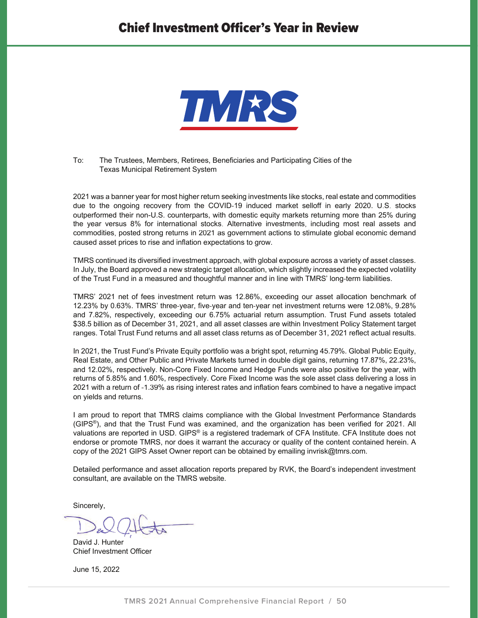

To: The Trustees, Members, Retirees, Beneficiaries and Participating Cities of the Texas Municipal Retirement System

2021 was a banner year for most higher return seeking investments like stocks, real estate and commodities due to the ongoing recovery from the COVID-19 induced market selloff in early 2020. U.S. stocks outperformed their non-U.S. counterparts, with domestic equity markets returning more than 25% during the year versus 8% for international stocks. Alternative investments, including most real assets and commodities, posted strong returns in 2021 as government actions to stimulate global economic demand caused asset prices to rise and inflation expectations to grow.

TMRS continued its diversified investment approach, with global exposure across a variety of asset classes. In July, the Board approved a new strategic target allocation, which slightly increased the expected volatility of the Trust Fund in a measured and thoughtful manner and in line with TMRS' long-term liabilities.

TMRS' 2021 net of fees investment return was 12.86%, exceeding our asset allocation benchmark of 12.23% by 0.63%. TMRS' three-year, five-year and ten-year net investment returns were 12.08%, 9.28% and 7.82%, respectively, exceeding our 6.75% actuarial return assumption. Trust Fund assets totaled \$38.5 billion as of December 31, 2021, and all asset classes are within Investment Policy Statement target ranges. Total Trust Fund returns and all asset class returns as of December 31, 2021 reflect actual results.

In 2021, the Trust Fund's Private Equity portfolio was a bright spot, returning 45.79%. Global Public Equity, Real Estate, and Other Public and Private Markets turned in double digit gains, returning 17.87%, 22.23%, and 12.02%, respectively. Non-Core Fixed Income and Hedge Funds were also positive for the year, with returns of 5.85% and 1.60%, respectively. Core Fixed Income was the sole asset class delivering a loss in 2021 with a return of -1.39% as rising interest rates and inflation fears combined to have a negative impact on yields and returns.

I am proud to report that TMRS claims compliance with the Global Investment Performance Standards (GIPS<sup>®</sup>), and that the Trust Fund was examined, and the organization has been verified for 2021. All valuations are reported in USD. GIPS® is a registered trademark of CFA Institute. CFA Institute does not endorse or promote TMRS, nor does it warrant the accuracy or quality of the content contained herein. A copy of the 2021 GIPS Asset Owner report can be obtained by emailing invrisk@tmrs.com.

Detailed performance and asset allocation reports prepared by RVK, the Board's independent investment consultant, are available on the TMRS website.

Sincerely,

David J. Hunter Chief Investment Officer

June 15, 2022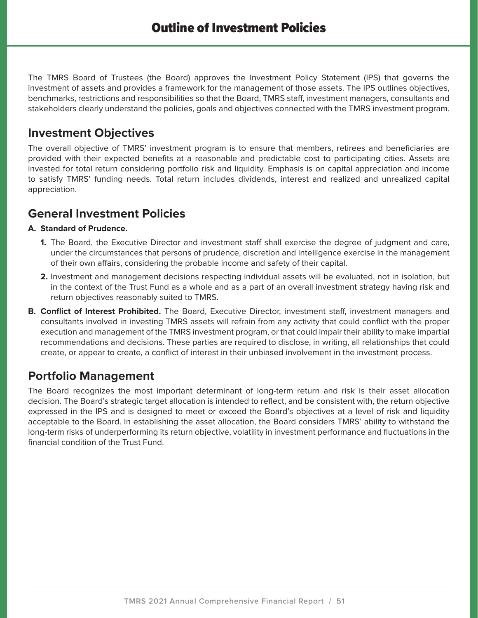The TMRS Board of Trustees (the Board) approves the Investment Policy Statement (IPS) that governs the investment of assets and provides a framework for the management of those assets. The IPS outlines objectives, benchmarks, restrictions and responsibilities so that the Board, TMRS staff, investment managers, consultants and stakeholders clearly understand the policies, goals and objectives connected with the TMRS investment program.

# **Investment Objectives**

The overall objective of TMRS' investment program is to ensure that members, retirees and beneficiaries are provided with their expected benefits at a reasonable and predictable cost to participating cities. Assets are invested for total return considering portfolio risk and liquidity. Emphasis is on capital appreciation and income to satisfy TMRS' funding needs. Total return includes dividends, interest and realized and unrealized capital appreciation.

# **General Investment Policies**

### **A. Standard of Prudence.**

- **1.** The Board, the Executive Director and investment staff shall exercise the degree of judgment and care, under the circumstances that persons of prudence, discretion and intelligence exercise in the management of their own affairs, considering the probable income and safety of their capital.
- **2.** Investment and management decisions respecting individual assets will be evaluated, not in isolation, but in the context of the Trust Fund as a whole and as a part of an overall investment strategy having risk and return objectives reasonably suited to TMRS.
- **B. Conflict of Interest Prohibited.** The Board, Executive Director, investment staff, investment managers and consultants involved in investing TMRS assets will refrain from any activity that could conflict with the proper execution and management of the TMRS investment program, or that could impair their ability to make impartial recommendations and decisions. These parties are required to disclose, in writing, all relationships that could create, or appear to create, a conflict of interest in their unbiased involvement in the investment process.

# **Portfolio Management**

The Board recognizes the most important determinant of long-term return and risk is their asset allocation decision. The Board's strategic target allocation is intended to reflect, and be consistent with, the return objective expressed in the IPS and is designed to meet or exceed the Board's objectives at a level of risk and liquidity acceptable to the Board. In establishing the asset allocation, the Board considers TMRS' ability to withstand the long-term risks of underperforming its return objective, volatility in investment performance and fluctuations in the financial condition of the Trust Fund.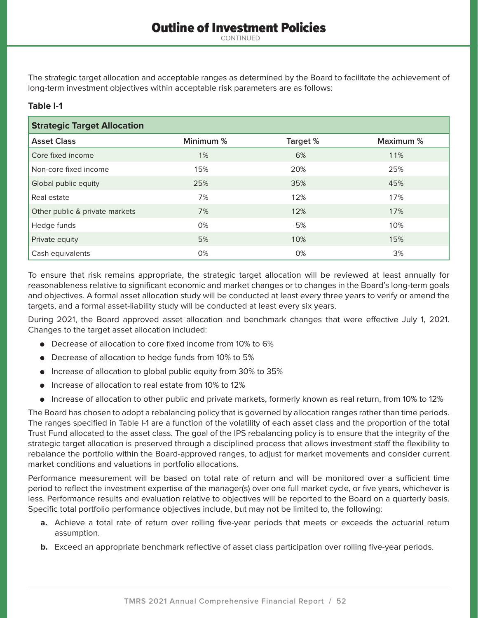CONTINUED

The strategic target allocation and acceptable ranges as determined by the Board to facilitate the achievement of long-term investment objectives within acceptable risk parameters are as follows:

### **Table I-1**

| <b>Strategic Target Allocation</b> |           |          |           |  |  |  |  |  |  |
|------------------------------------|-----------|----------|-----------|--|--|--|--|--|--|
| <b>Asset Class</b>                 | Minimum % | Target % | Maximum % |  |  |  |  |  |  |
| Core fixed income                  | 1%        | 6%       | 11%       |  |  |  |  |  |  |
| Non-core fixed income              | 15%       | 20%      | 25%       |  |  |  |  |  |  |
| Global public equity               | 25%       | 35%      | 45%       |  |  |  |  |  |  |
| Real estate                        | 7%        | 12%      | 17%       |  |  |  |  |  |  |
| Other public & private markets     | 7%        | 12%      | 17%       |  |  |  |  |  |  |
| Hedge funds                        | 0%        | 5%       | 10%       |  |  |  |  |  |  |
| Private equity                     | 5%        | 10%      | 15%       |  |  |  |  |  |  |
| Cash equivalents                   | 0%        | 0%       | 3%        |  |  |  |  |  |  |

To ensure that risk remains appropriate, the strategic target allocation will be reviewed at least annually for reasonableness relative to significant economic and market changes or to changes in the Board's long-term goals and objectives. A formal asset allocation study will be conducted at least every three years to verify or amend the targets, and a formal asset-liability study will be conducted at least every six years.

During 2021, the Board approved asset allocation and benchmark changes that were effective July 1, 2021. Changes to the target asset allocation included:

- Decrease of allocation to core fixed income from 10% to 6%
- Decrease of allocation to hedge funds from 10% to 5%
- Increase of allocation to global public equity from 30% to 35%
- **.** Increase of allocation to real estate from 10% to 12%
- Increase of allocation to other public and private markets, formerly known as real return, from 10% to 12%

The Board has chosen to adopt a rebalancing policy that is governed by allocation ranges rather than time periods. The ranges specified in Table I-1 are a function of the volatility of each asset class and the proportion of the total Trust Fund allocated to the asset class. The goal of the IPS rebalancing policy is to ensure that the integrity of the strategic target allocation is preserved through a disciplined process that allows investment staff the flexibility to rebalance the portfolio within the Board-approved ranges, to adjust for market movements and consider current market conditions and valuations in portfolio allocations.

Performance measurement will be based on total rate of return and will be monitored over a sufficient time period to reflect the investment expertise of the manager(s) over one full market cycle, or five years, whichever is less. Performance results and evaluation relative to objectives will be reported to the Board on a quarterly basis. Specific total portfolio performance objectives include, but may not be limited to, the following:

- **a.** Achieve a total rate of return over rolling five-year periods that meets or exceeds the actuarial return assumption.
- **b.** Exceed an appropriate benchmark reflective of asset class participation over rolling five-year periods.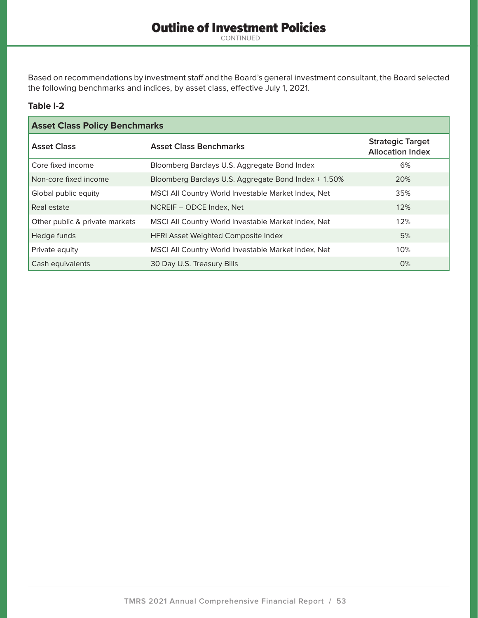**CONTINUED** 

Based on recommendations by investment staff and the Board's general investment consultant, the Board selected the following benchmarks and indices, by asset class, effective July 1, 2021.

#### **Table I-2**

| <b>Asset Class Policy Benchmarks</b> |                                                      |       |  |  |  |  |  |
|--------------------------------------|------------------------------------------------------|-------|--|--|--|--|--|
| <b>Asset Class</b>                   | <b>Strategic Target</b><br><b>Allocation Index</b>   |       |  |  |  |  |  |
| Core fixed income                    | Bloomberg Barclays U.S. Aggregate Bond Index         | 6%    |  |  |  |  |  |
| Non-core fixed income                | Bloomberg Barclays U.S. Aggregate Bond Index + 1.50% | 20%   |  |  |  |  |  |
| Global public equity                 | MSCI All Country World Investable Market Index, Net  | 35%   |  |  |  |  |  |
| Real estate                          | NCREIF - ODCE Index, Net                             | 12%   |  |  |  |  |  |
| Other public & private markets       | MSCI All Country World Investable Market Index, Net  | 12%   |  |  |  |  |  |
| Hedge funds                          | <b>HFRI Asset Weighted Composite Index</b>           | 5%    |  |  |  |  |  |
| Private equity                       | MSCI All Country World Investable Market Index, Net  | 10%   |  |  |  |  |  |
| Cash equivalents                     | 30 Day U.S. Treasury Bills                           | $0\%$ |  |  |  |  |  |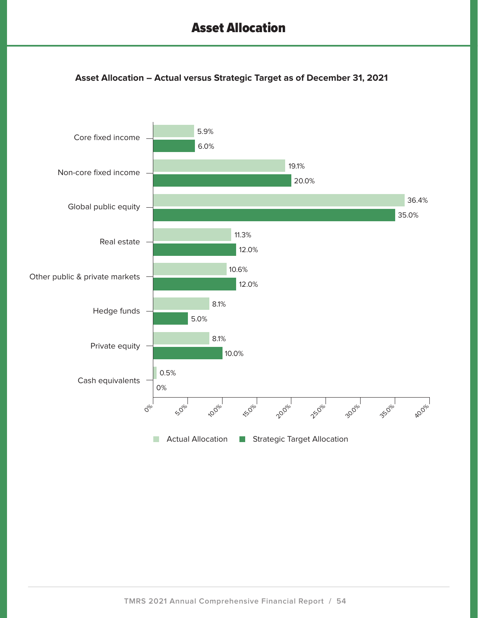

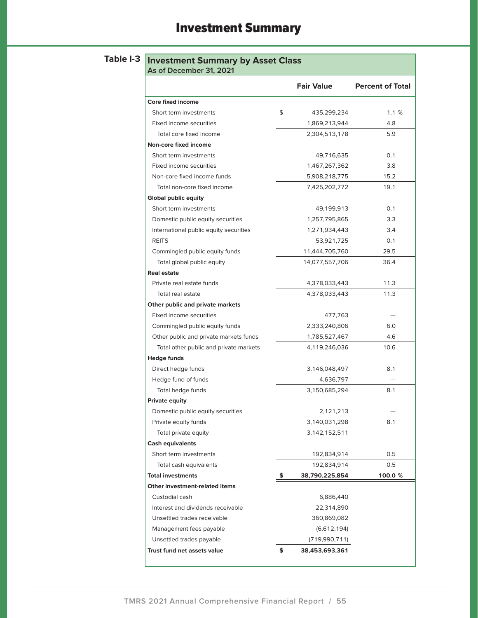## **Investment Summary by Asset Class**

| As of December 31, 2021 |  |
|-------------------------|--|
|                         |  |

|                                        | <b>Fair Value</b>    | <b>Percent of Total</b> |
|----------------------------------------|----------------------|-------------------------|
| Core fixed income                      |                      |                         |
| Short term investments                 | \$<br>435,299,234    | 1.1%                    |
| Fixed income securities                | 1,869,213,944        | 4.8                     |
| Total core fixed income                | 2,304,513,178        | 5.9                     |
| Non-core fixed income                  |                      |                         |
| Short term investments                 | 49,716,635           | 0.1                     |
| Fixed income securities                | 1,467,267,362        | 3.8                     |
| Non-core fixed income funds            | 5,908,218,775        | 15.2                    |
| Total non-core fixed income            | 7,425,202,772        | 19.1                    |
| Global public equity                   |                      |                         |
| Short term investments                 | 49,199,913           | 0.1                     |
| Domestic public equity securities      | 1,257,795,865        | 3.3                     |
| International public equity securities | 1,271,934,443        | 3.4                     |
| <b>REITS</b>                           | 53,921,725           | 0.1                     |
| Commingled public equity funds         | 11,444,705,760       | 29.5                    |
| Total global public equity             | 14,077,557,706       | 36.4                    |
| <b>Real estate</b>                     |                      |                         |
| Private real estate funds              | 4,378,033,443        | 11.3                    |
| Total real estate                      | 4,378,033,443        | 11.3                    |
| Other public and private markets       |                      |                         |
| Fixed income securities                | 477,763              |                         |
| Commingled public equity funds         | 2,333,240,806        | 6.0                     |
| Other public and private markets funds | 1,785,527,467        | 4.6                     |
| Total other public and private markets | 4,119,246,036        | 10.6                    |
| <b>Hedge funds</b>                     |                      |                         |
| Direct hedge funds                     | 3,146,048,497        | 8.1                     |
| Hedge fund of funds                    | 4,636,797            |                         |
| Total hedge funds                      | 3,150,685,294        | 8.1                     |
| Private equity                         |                      |                         |
| Domestic public equity securities      | 2,121,213            |                         |
| Private equity funds                   | 3,140,031,298        | 8.1                     |
| Total private equity                   | 3,142,152,511        |                         |
| <b>Cash equivalents</b>                |                      |                         |
| Short term investments                 | 192,834,914          | 0.5                     |
| Total cash equivalents                 | 192,834,914          | 0.5                     |
| <b>Total investments</b>               | 38,790,225,854<br>\$ | 100.0 %                 |
| <b>Other investment-related items</b>  |                      |                         |
| Custodial cash                         | 6,886,440            |                         |
| Interest and dividends receivable      | 22,314,890           |                         |
| Unsettled trades receivable            | 360,869,082          |                         |
| Management fees payable                | (6,612,194)          |                         |
| Unsettled trades payable               | (719,990,711)        |                         |
| Trust fund net assets value            | \$<br>38,453,693,361 |                         |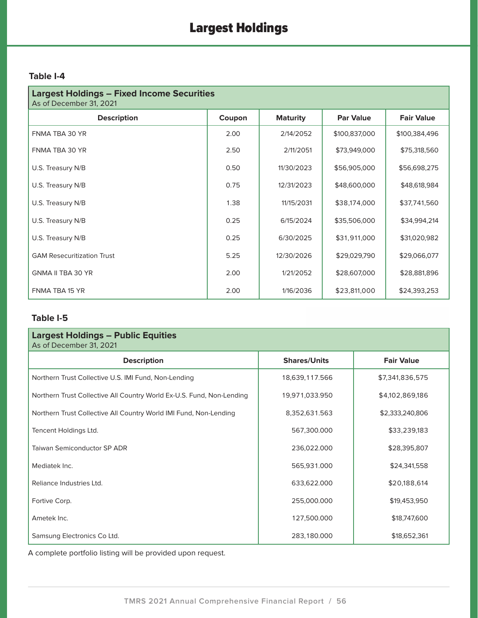| <b>Largest Holdings - Fixed Income Securities</b><br>As of December 31, 2021 |        |                 |                  |                   |  |  |  |  |  |  |
|------------------------------------------------------------------------------|--------|-----------------|------------------|-------------------|--|--|--|--|--|--|
| <b>Description</b>                                                           | Coupon | <b>Maturity</b> | <b>Par Value</b> | <b>Fair Value</b> |  |  |  |  |  |  |
| FNMA TBA 30 YR                                                               | 2.00   | 2/14/2052       | \$100,837,000    | \$100,384,496     |  |  |  |  |  |  |
| FNMA TBA 30 YR                                                               | 2.50   | 2/11/2051       | \$73,949,000     | \$75,318,560      |  |  |  |  |  |  |
| U.S. Treasury N/B                                                            | 0.50   | 11/30/2023      | \$56,905,000     | \$56,698,275      |  |  |  |  |  |  |
| U.S. Treasury N/B                                                            | 0.75   | 12/31/2023      | \$48,600,000     | \$48,618,984      |  |  |  |  |  |  |
| U.S. Treasury N/B                                                            | 1.38   | 11/15/2031      | \$38,174,000     | \$37,741,560      |  |  |  |  |  |  |
| U.S. Treasury N/B                                                            | 0.25   | 6/15/2024       | \$35,506,000     | \$34,994,214      |  |  |  |  |  |  |
| U.S. Treasury N/B                                                            | 0.25   | 6/30/2025       | \$31,911,000     | \$31,020,982      |  |  |  |  |  |  |
| <b>GAM Resecuritization Trust</b>                                            | 5.25   | 12/30/2026      | \$29,029,790     | \$29,066,077      |  |  |  |  |  |  |
| <b>GNMA II TBA 30 YR</b>                                                     | 2.00   | 1/21/2052       | \$28,607,000     | \$28,881,896      |  |  |  |  |  |  |
| FNMA TBA 15 YR                                                               | 2.00   | 1/16/2036       | \$23,811,000     | \$24,393,253      |  |  |  |  |  |  |

### **Table I-5**

| <b>Largest Holdings - Public Equities</b><br>As of December 31, 2021  |                     |                   |  |  |  |  |  |  |
|-----------------------------------------------------------------------|---------------------|-------------------|--|--|--|--|--|--|
| <b>Description</b>                                                    | <b>Shares/Units</b> | <b>Fair Value</b> |  |  |  |  |  |  |
| Northern Trust Collective U.S. IMI Fund, Non-Lending                  | 18,639,117.566      | \$7,341,836,575   |  |  |  |  |  |  |
| Northern Trust Collective All Country World Ex-U.S. Fund, Non-Lending | 19,971,033.950      | \$4,102,869,186   |  |  |  |  |  |  |
| Northern Trust Collective All Country World IMI Fund, Non-Lending     | 8,352,631.563       | \$2,333,240,806   |  |  |  |  |  |  |
| Tencent Holdings Ltd.                                                 | 567,300.000         | \$33,239,183      |  |  |  |  |  |  |
| Taiwan Semiconductor SP ADR                                           | 236,022.000         | \$28,395,807      |  |  |  |  |  |  |
| Mediatek Inc.                                                         | 565,931.000         | \$24,341,558      |  |  |  |  |  |  |
| Reliance Industries Ltd.                                              | 633,622.000         | \$20,188,614      |  |  |  |  |  |  |
| Fortive Corp.                                                         | 255,000.000         | \$19,453,950      |  |  |  |  |  |  |
| Ametek Inc.                                                           | 127,500.000         | \$18,747,600      |  |  |  |  |  |  |
| Samsung Electronics Co Ltd.                                           | 283,180.000         | \$18,652,361      |  |  |  |  |  |  |

A complete portfolio listing will be provided upon request.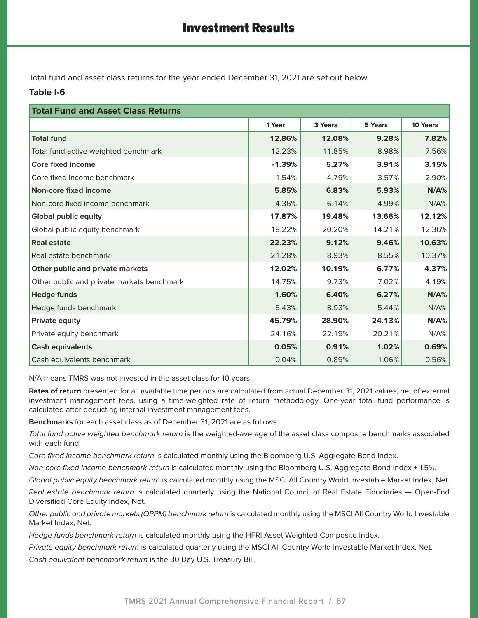Total fund and asset class returns for the year ended December 31, 2021 are set out below.

#### **Table I-6**

| <b>Total Fund and Asset Class Returns</b>  |          |         |         |          |  |  |  |  |  |
|--------------------------------------------|----------|---------|---------|----------|--|--|--|--|--|
|                                            | 1 Year   | 3 Years | 5 Years | 10 Years |  |  |  |  |  |
| <b>Total fund</b>                          | 12.86%   | 12.08%  | 9.28%   | 7.82%    |  |  |  |  |  |
| Total fund active weighted benchmark       | 12.23%   | 11.85%  | 8.98%   | 7.56%    |  |  |  |  |  |
| <b>Core fixed income</b>                   | $-1.39%$ | 5.27%   | 3.91%   | 3.15%    |  |  |  |  |  |
| Core fixed income benchmark                | $-1.54%$ | 4.79%   | 3.57%   | 2.90%    |  |  |  |  |  |
| Non-core fixed income                      | 5.85%    | 6.83%   | 5.93%   | N/A%     |  |  |  |  |  |
| Non-core fixed income benchmark            | 4.36%    | 6.14%   | 4.99%   | $N/A\%$  |  |  |  |  |  |
| <b>Global public equity</b>                | 17.87%   | 19.48%  | 13.66%  | 12.12%   |  |  |  |  |  |
| Global public equity benchmark             | 18.22%   | 20.20%  | 14.21%  | 12.36%   |  |  |  |  |  |
| <b>Real estate</b>                         | 22.23%   | 9.12%   | 9.46%   | 10.63%   |  |  |  |  |  |
| Real estate benchmark                      | 21.28%   | 8.93%   | 8.55%   | 10.37%   |  |  |  |  |  |
| Other public and private markets           | 12.02%   | 10.19%  | 6.77%   | 4.37%    |  |  |  |  |  |
| Other public and private markets benchmark | 14.75%   | 9.73%   | 7.02%   | 4.19%    |  |  |  |  |  |
| <b>Hedge funds</b>                         | 1.60%    | 6.40%   | 6.27%   | N/A%     |  |  |  |  |  |
| Hedge funds benchmark                      | 5.43%    | 8.03%   | 5.44%   | N/A%     |  |  |  |  |  |
| <b>Private equity</b>                      | 45.79%   | 28.90%  | 24.13%  | N/A%     |  |  |  |  |  |
| Private equity benchmark                   | 24.16%   | 22.19%  | 20.21%  | N/A%     |  |  |  |  |  |
| <b>Cash equivalents</b>                    | 0.05%    | 0.91%   | 1.02%   | 0.69%    |  |  |  |  |  |
| Cash equivalents benchmark                 | 0.04%    | 0.89%   | 1.06%   | 0.56%    |  |  |  |  |  |

N/A means TMRS was not invested in the asset class for 10 years.

**Rates of return** presented for all available time periods are calculated from actual December 31, 2021 values, net of external investment management fees, using a time-weighted rate of return methodology. One-year total fund performance is calculated after deducting internal investment management fees.

**Benchmarks** for each asset class as of December 31, 2021 are as follows:

Total fund active weighted benchmark return is the weighted-average of the asset class composite benchmarks associated with each fund.

Core fixed income benchmark return is calculated monthly using the Bloomberg U.S. Aggregate Bond Index.

Non-core fixed income benchmark return is calculated monthly using the Bloomberg U.S. Aggregate Bond Index + 1.5%.

Global public equity benchmark return is calculated monthly using the MSCI All Country World Investable Market Index, Net.

Real estate benchmark return is calculated quarterly using the National Council of Real Estate Fiduciaries – Open-End Diversified Core Equity Index, Net.

Other public and private markets (OPPM) benchmark return is calculated monthly using the MSCI All Country World Investable Market Index, Net.

Hedge funds benchmark return is calculated monthly using the HFRI Asset Weighted Composite Index.

Private equity benchmark return is calculated quarterly using the MSCI All Country World Investable Market Index, Net.

Cash equivalent benchmark return is the 30 Day U.S. Treasury Bill.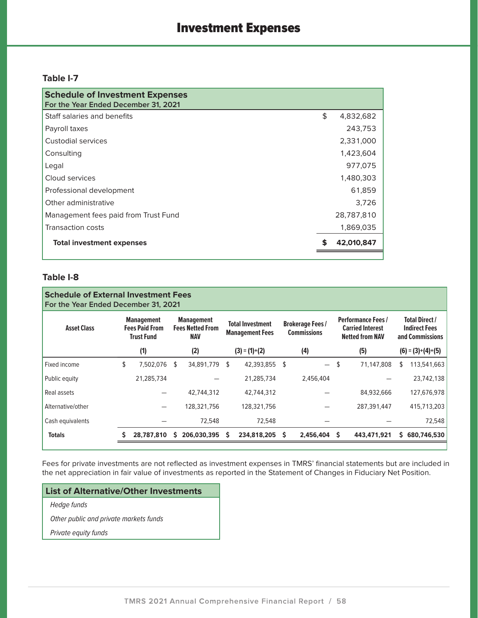| <b>Schedule of Investment Expenses</b><br>For the Year Ended December 31, 2021 |                 |
|--------------------------------------------------------------------------------|-----------------|
| Staff salaries and benefits                                                    | \$<br>4,832,682 |
| Payroll taxes                                                                  | 243,753         |
| Custodial services                                                             | 2,331,000       |
| Consulting                                                                     | 1,423,604       |
| Legal                                                                          | 977,075         |
| Cloud services                                                                 | 1,480,303       |
| Professional development                                                       | 61,859          |
| Other administrative                                                           | 3.726           |
| Management fees paid from Trust Fund                                           | 28,787,810      |
| Transaction costs                                                              | 1,869,035       |
| <b>Total investment expenses</b>                                               | 42,010,847      |

#### **Table I-8**

| <b>Schedule of External Investment Fees</b><br>For the Year Ended December 31, 2021 |    |                                                                 |    |                                                            |    |                                                   |          |                                              |    |                                                                                |                                                                  |
|-------------------------------------------------------------------------------------|----|-----------------------------------------------------------------|----|------------------------------------------------------------|----|---------------------------------------------------|----------|----------------------------------------------|----|--------------------------------------------------------------------------------|------------------------------------------------------------------|
| <b>Asset Class</b>                                                                  |    | <b>Management</b><br><b>Fees Paid From</b><br><b>Trust Fund</b> |    | <b>Management</b><br><b>Fees Netted From</b><br><b>NAV</b> |    | <b>Total Investment</b><br><b>Management Fees</b> |          | <b>Brokerage Fees/</b><br><b>Commissions</b> |    | <b>Performance Fees /</b><br><b>Carried Interest</b><br><b>Netted from NAV</b> | <b>Total Direct /</b><br><b>Indirect Fees</b><br>and Commissions |
|                                                                                     |    | (1)                                                             |    | (2)                                                        |    | $(3) = (1)+(2)$                                   |          | (4)                                          |    | (5)                                                                            | $(6) = (3)+(4)+(5)$                                              |
| Fixed income                                                                        | \$ | 7,502,076                                                       | \$ | 34,891,779                                                 | \$ | 42,393,855                                        | \$       | $-$                                          | \$ | 71,147,808                                                                     | 113,541,663<br>S                                                 |
| Public equity                                                                       |    | 21,285,734                                                      |    |                                                            |    | 21,285,734                                        |          | 2,456,404                                    |    |                                                                                | 23,742,138                                                       |
| Real assets                                                                         |    |                                                                 |    | 42,744,312                                                 |    | 42,744,312                                        |          |                                              |    | 84,932,666                                                                     | 127,676,978                                                      |
| Alternative/other                                                                   |    |                                                                 |    | 128,321,756                                                |    | 128,321,756                                       |          |                                              |    | 287,391,447                                                                    | 415,713,203                                                      |
| Cash equivalents                                                                    |    |                                                                 |    | 72,548                                                     |    | 72,548                                            |          |                                              |    |                                                                                | 72,548                                                           |
| <b>Totals</b>                                                                       |    | 28,787,810                                                      | S  | 206.030.395                                                | S  | 234,818,205                                       | <b>S</b> | 2,456,404                                    | S  | 443,471,921                                                                    | 680,746,530<br>S.                                                |
|                                                                                     |    |                                                                 |    |                                                            |    |                                                   |          |                                              |    |                                                                                |                                                                  |

Fees for private investments are not reflected as investment expenses in TMRS' financial statements but are included in the net appreciation in fair value of investments as reported in the Statement of Changes in Fiduciary Net Position.

#### **List of Alternative/Other Investments**

Hedge funds

Other public and private markets funds

Private equity funds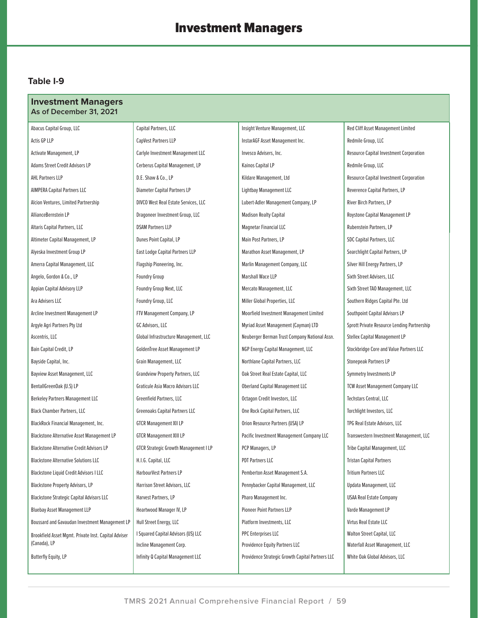| <b>Investment Managers</b><br>As of December 31, 2021 |                                              |                                                  |                                             |
|-------------------------------------------------------|----------------------------------------------|--------------------------------------------------|---------------------------------------------|
| Abacus Capital Group, LLC                             | Capital Partners, LLC                        | Insight Venture Management, LLC                  | Red Cliff Asset Management Limited          |
| Actis GP LLP                                          | CapVest Partners LLP                         | InstarAGF Asset Management Inc.                  | Redmile Group, LLC                          |
| Activate Management, LP                               | Carlyle Investment Management LLC            | Invesco Advisers, Inc.                           | Resource Capital Investment Corporation     |
| Adams Street Credit Advisors LP                       | Cerberus Capital Management, LP              | Kainos Capital LP                                | Redmile Group, LLC                          |
| <b>AHL Partners LLP</b>                               | D.E. Shaw & Co., LP                          | Kildare Management, Ltd                          | Resource Capital Investment Corporation     |
| <b>AIMPERA Capital Partners LLC</b>                   | Diameter Capital Partners LP                 | Lightbay Management LLC                          | Reverence Capital Partners, LP              |
| Alcion Ventures, Limited Partnership                  | DIVCO West Real Estate Services, LLC         | Lubert-Adler Management Company, LP              | River Birch Partners, LP                    |
| AllianceBernstein LP                                  | Dragoneer Investment Group, LLC              | <b>Madison Realty Capital</b>                    | Roystone Capital Management LP              |
| Altaris Capital Partners, LLC                         | <b>DSAM Partners LLP</b>                     | Magnetar Financial LLC                           | Rubenstein Partners, LP                     |
| Altimeter Capital Management, LP                      | Dunes Point Capital, LP                      | Main Post Partners, LP                           | <b>SDC Capital Partners, LLC</b>            |
| Alyeska Investment Group LP                           | East Lodge Capital Partners LLP              | Marathon Asset Management, LP                    | Searchlight Capital Partners, LP            |
| Amerra Capital Management, LLC                        | Flagship Pioneering, Inc.                    | Marlin Management Company, LLC                   | Silver Hill Energy Partners, LP             |
| Angelo, Gordon & Co., LP                              | <b>Foundry Group</b>                         | Marshall Wace LLP                                | Sixth Street Advisers, LLC                  |
| Appian Capital Advisory LLP                           | Foundry Group Next, LLC                      | Mercato Management, LLC                          | Sixth Street TAO Management, LLC            |
| Ara Advisers LLC                                      | Foundry Group, LLC                           | Miller Global Properties, LLC                    | Southern Ridges Capital Pte. Ltd            |
| Arcline Investment Management LP                      | FTV Management Company, LP                   | Moorfield Investment Management Limited          | Southpoint Capital Advisors LP              |
| Argyle Agri Partners Pty Ltd                          | GC Advisors, LLC                             | Myriad Asset Management (Cayman) LTD             | Sprott Private Resource Lending Partnership |
| Ascentris, LLC                                        | Global Infrastructure Management, LLC        | Neuberger Berman Trust Company National Assn.    | Stellex Capital Management LP               |
| Bain Capital Credit, LP                               | GoldenTree Asset Management LP               | NGP Energy Capital Management, LLC               | Stockbridge Core and Value Partners LLC     |
| Bayside Capital, Inc.                                 | Grain Management, LLC                        | Northlane Capital Partners, LLC                  | <b>Stonepeak Partners LP</b>                |
| Bayview Asset Management, LLC                         | <b>Grandview Property Partners, LLC</b>      | Oak Street Real Estate Capital, LLC              | Symmetry Investments LP                     |
| BentallGreenOak (U.S) LP                              | Graticule Asia Macro Advisors LLC            | <b>Oberland Capital Management LLC</b>           | TCW Asset Management Company LLC            |
| <b>Berkeley Partners Management LLC</b>               | Greenfield Partners, LLC                     | Octagon Credit Investors, LLC                    | Techstars Central, LLC                      |
| <b>Black Chamber Partners, LLC</b>                    | <b>Greenoaks Capital Partners LLC</b>        | One Rock Capital Partners, LLC                   | Torchlight Investors, LLC                   |
| BlackRock Financial Management, Inc.                  | <b>GTCR Management XII LP</b>                | Orion Resource Partners (USA) LP                 | TPG Real Estate Advisors, LLC               |
| <b>Blackstone Alternative Asset Management LP</b>     | <b>GTCR Management XIII LP</b>               | Pacific Investment Management Company LLC        | Transwestern Investment Management, LLC     |
| <b>Blackstone Alternative Credit Advisors LP</b>      | <b>GTCR Strategic Growth Management I LP</b> | PCP Managers, LP                                 | Tribe Capital Management, LLC               |
| <b>Blackstone Alternative Solutions LLC</b>           | H.I.G. Capital, LLC                          | <b>PDT Partners LLC</b>                          | <b>Tristan Capital Partners</b>             |
| <b>Blackstone Liquid Credit Advisors I LLC</b>        | <b>HarbourVest Partners LP</b>               | Pemberton Asset Management S.A.                  | <b>Tritium Partners LLC</b>                 |
| <b>Blackstone Property Advisors, LP</b>               | Harrison Street Advisors, LLC                | Pennybacker Capital Management, LLC              | Updata Management, LLC                      |
| <b>Blackstone Strategic Capital Advisors LLC</b>      | Harvest Partners, LP                         | Pharo Management Inc.                            | <b>USAA Real Estate Company</b>             |
| <b>Bluebay Asset Management LLP</b>                   | Heartwood Manager IV, LP                     | <b>Pioneer Point Partners LLP</b>                | Varde Management LP                         |
| Boussard and Gavaudan Investment Management LP        | Hull Street Energy, LLC                      | Platform Investments, LLC                        | Virtus Real Estate LLC                      |
| Brookfield Asset Mgmt. Private Inst. Capital Adviser  | I Squared Capital Advisors (US) LLC          | PPC Enterprises LLC                              | Walton Street Capital, LLC                  |
| (Canada), LP                                          | Incline Management Corp.                     | Providence Equity Partners LLC                   | Waterfall Asset Management, LLC             |
| Butterfly Equity, LP                                  | Infinity Q Capital Management LLC            | Providence Strategic Growth Capital Partners LLC | White Oak Global Advisors, LLC              |